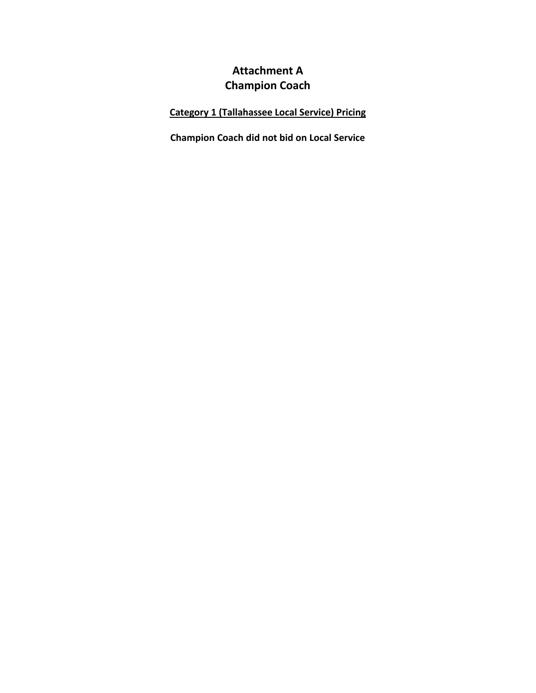# **Attachment A Champion Coach**

## **Category 1 (Tallahassee Local Service) Pricing**

**Champion Coach did not bid on Local Service**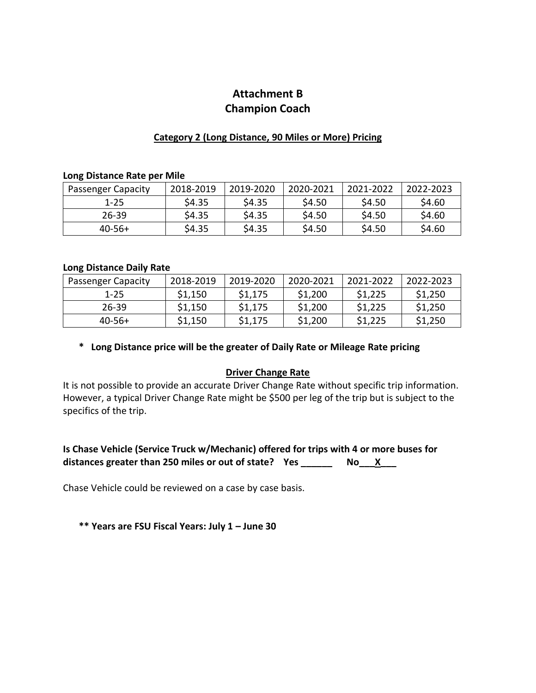## **Attachment B Champion Coach**

### **Category 2 (Long Distance, 90 Miles or More) Pricing**

#### **Long Distance Rate per Mile**

| <b>Passenger Capacity</b> | 2018-2019 | 2019-2020 | 2020-2021 | 2021-2022 | 2022-2023 |
|---------------------------|-----------|-----------|-----------|-----------|-----------|
| $1 - 25$                  | \$4.35    | \$4.35    | \$4.50    | \$4.50    | \$4.60    |
| 26-39                     | \$4.35    | \$4.35    | \$4.50    | \$4.50    | \$4.60    |
| $40-56+$                  | \$4.35    | \$4.35    | \$4.50    | \$4.50    | \$4.60    |

#### **Long Distance Daily Rate**

| <b>Passenger Capacity</b> | 2018-2019 | 2019-2020 | 2020-2021 | 2021-2022 | 2022-2023 |
|---------------------------|-----------|-----------|-----------|-----------|-----------|
| $1 - 25$                  | \$1,150   | \$1,175   | \$1,200   | \$1,225   | \$1,250   |
| 26-39                     | \$1,150   | \$1,175   | \$1,200   | \$1,225   | \$1,250   |
| $40-56+$                  | \$1,150   | \$1,175   | \$1,200   | \$1,225   | \$1,250   |

**\* Long Distance price will be the greater of Daily Rate or Mileage Rate pricing**

### **Driver Change Rate**

It is not possible to provide an accurate Driver Change Rate without specific trip information. However, a typical Driver Change Rate might be \$500 per leg of the trip but is subject to the specifics of the trip.

### **Is Chase Vehicle (Service Truck w/Mechanic) offered for trips with 4 or more buses for distances greater than 250 miles or out of state? Yes \_\_\_\_\_\_ No\_\_\_X\_\_\_**

Chase Vehicle could be reviewed on a case by case basis.

**\*\* Years are FSU Fiscal Years: July 1 – June 30**